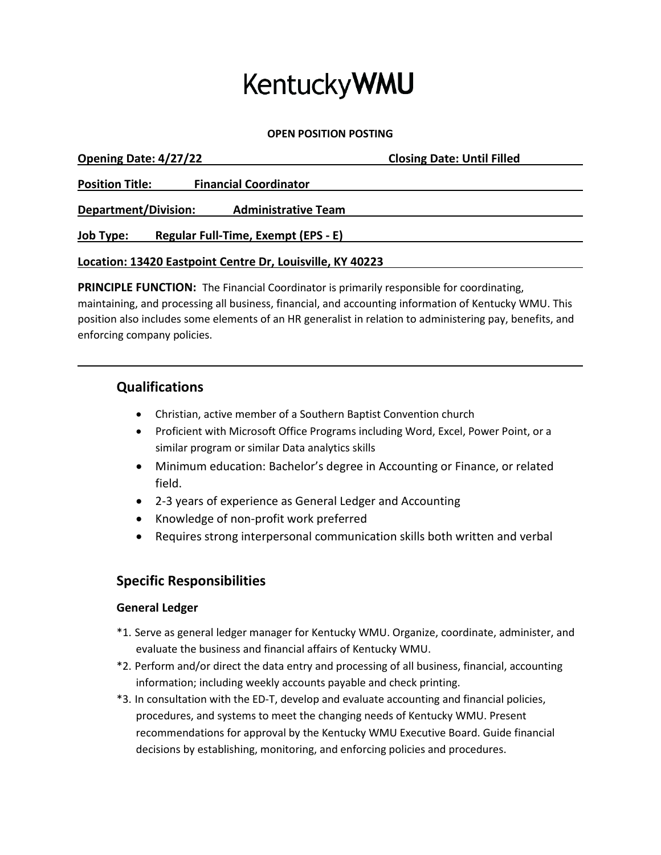# **KentuckyWMU**

**OPEN POSITION POSTING**

| Opening Date: 4/27/22                                     | <b>Closing Date: Until Filled</b> |
|-----------------------------------------------------------|-----------------------------------|
| <b>Position Title:</b><br><b>Financial Coordinator</b>    |                                   |
| Department/Division:<br><b>Administrative Team</b>        |                                   |
| Regular Full-Time, Exempt (EPS - E)<br><u>Job Type:</u>   |                                   |
| Location: 13420 Eastpoint Centre Dr, Louisville, KY 40223 |                                   |

**PRINCIPLE FUNCTION:** The Financial Coordinator is primarily responsible for coordinating, maintaining, and processing all business, financial, and accounting information of Kentucky WMU. This position also includes some elements of an HR generalist in relation to administering pay, benefits, and enforcing company policies.

## **Qualifications**

- Christian, active member of a Southern Baptist Convention church
- Proficient with Microsoft Office Programs including Word, Excel, Power Point, or a similar program or similar Data analytics skills
- Minimum education: Bachelor's degree in Accounting or Finance, or related field.
- 2-3 years of experience as General Ledger and Accounting
- Knowledge of non-profit work preferred
- Requires strong interpersonal communication skills both written and verbal

## **Specific Responsibilities**

### **General Ledger**

- \*1. Serve as general ledger manager for Kentucky WMU. Organize, coordinate, administer, and evaluate the business and financial affairs of Kentucky WMU.
- \*2. Perform and/or direct the data entry and processing of all business, financial, accounting information; including weekly accounts payable and check printing.
- \*3. In consultation with the ED-T, develop and evaluate accounting and financial policies, procedures, and systems to meet the changing needs of Kentucky WMU. Present recommendations for approval by the Kentucky WMU Executive Board. Guide financial decisions by establishing, monitoring, and enforcing policies and procedures.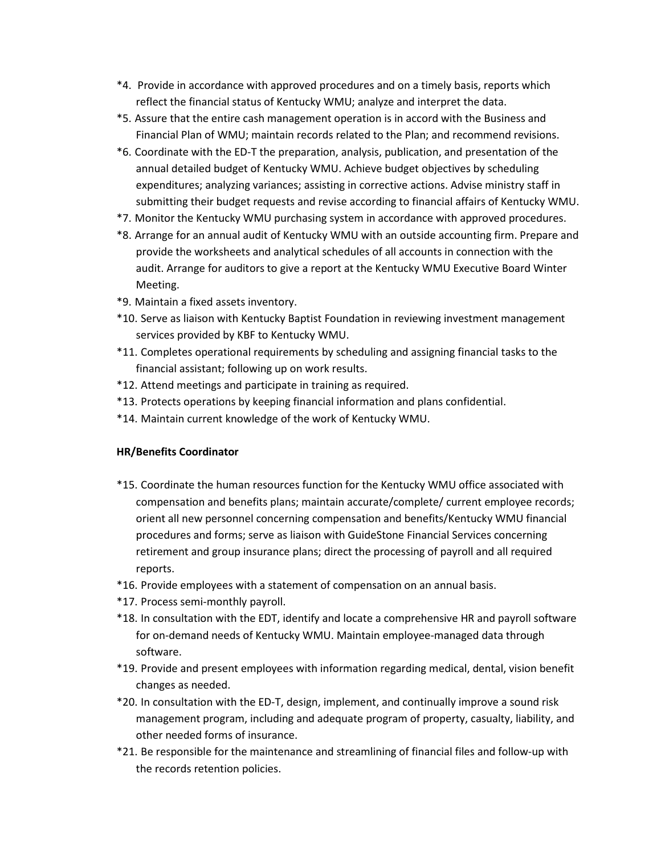- \*4. Provide in accordance with approved procedures and on a timely basis, reports which reflect the financial status of Kentucky WMU; analyze and interpret the data.
- \*5. Assure that the entire cash management operation is in accord with the Business and Financial Plan of WMU; maintain records related to the Plan; and recommend revisions.
- \*6. Coordinate with the ED-T the preparation, analysis, publication, and presentation of the annual detailed budget of Kentucky WMU. Achieve budget objectives by scheduling expenditures; analyzing variances; assisting in corrective actions. Advise ministry staff in submitting their budget requests and revise according to financial affairs of Kentucky WMU.
- \*7. Monitor the Kentucky WMU purchasing system in accordance with approved procedures.
- \*8. Arrange for an annual audit of Kentucky WMU with an outside accounting firm. Prepare and provide the worksheets and analytical schedules of all accounts in connection with the audit. Arrange for auditors to give a report at the Kentucky WMU Executive Board Winter Meeting.
- \*9. Maintain a fixed assets inventory.
- \*10. Serve as liaison with Kentucky Baptist Foundation in reviewing investment management services provided by KBF to Kentucky WMU.
- \*11. Completes operational requirements by scheduling and assigning financial tasks to the financial assistant; following up on work results.
- \*12. Attend meetings and participate in training as required.
- \*13. Protects operations by keeping financial information and plans confidential.
- \*14. Maintain current knowledge of the work of Kentucky WMU.

#### **HR/Benefits Coordinator**

- \*15. Coordinate the human resources function for the Kentucky WMU office associated with compensation and benefits plans; maintain accurate/complete/ current employee records; orient all new personnel concerning compensation and benefits/Kentucky WMU financial procedures and forms; serve as liaison with GuideStone Financial Services concerning retirement and group insurance plans; direct the processing of payroll and all required reports.
- \*16. Provide employees with a statement of compensation on an annual basis.
- \*17. Process semi-monthly payroll.
- \*18. In consultation with the EDT, identify and locate a comprehensive HR and payroll software for on-demand needs of Kentucky WMU. Maintain employee-managed data through software.
- \*19. Provide and present employees with information regarding medical, dental, vision benefit changes as needed.
- \*20. In consultation with the ED-T, design, implement, and continually improve a sound risk management program, including and adequate program of property, casualty, liability, and other needed forms of insurance.
- \*21. Be responsible for the maintenance and streamlining of financial files and follow-up with the records retention policies.